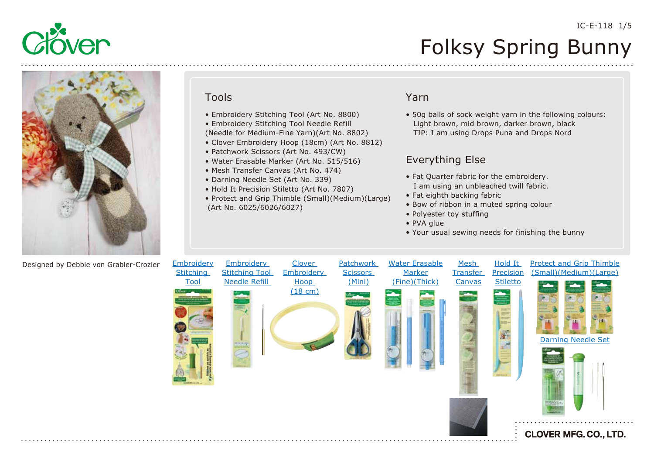



## Tools

- Embroidery Stitching Tool (Art No. 8800)
- Embroidery Stitching Tool Needle Refill
- (Needle for Medium-Fine Yarn)(Art No. 8802)
- Clover Embroidery Hoop (18cm) (Art No. 8812)
- Patchwork Scissors (Art No. 493/CW)
- Water Erasable Marker (Art No. 515/516)
- Mesh Transfer Canvas (Art No. 474)
- Darning Needle Set (Art No. 339)
- Hold It Precision Stiletto (Art No. 7807)
- Protect and Grip Thimble (Small)(Medium)(Large) (Art No. 6025/6026/6027)

## Yarn

• 50g balls of sock weight yarn in the following colours: Light brown, mid brown, darker brown, black TIP: I am using Drops Puna and Drops Nord

## Everything Else

- Fat Quarter fabric for the embroidery. I am using an unbleached twill fabric.
- Fat eighth backing fabric
- Bow of ribbon in a muted spring colour
- Polyester toy stuffing
- PVA glue
- Your usual sewing needs for finishing the bunny

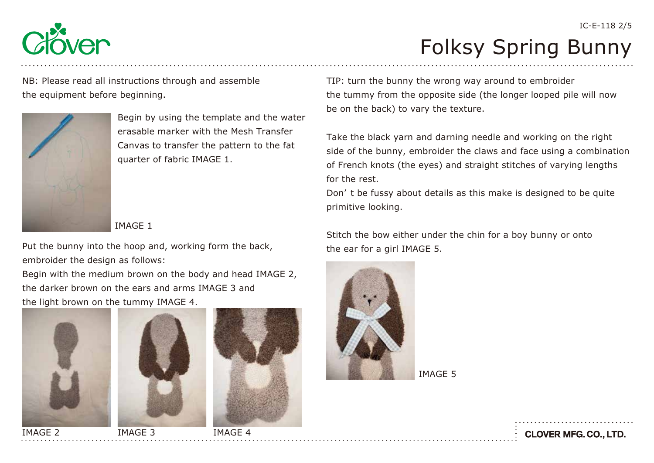

IC-E-118 2/5

NB: Please read all instructions through and assemble the equipment before beginning.



Begin by using the template and the water erasable marker with the Mesh Transfer Canvas to transfer the pattern to the fat quarter of fabric IMAGE 1.

### IMAGE 1

Put the bunny into the hoop and, working form the back, embroider the design as follows:

Begin with the medium brown on the body and head IMAGE 2, the darker brown on the ears and arms IMAGE 3 and the light brown on the tummy IMAGE 4.



TIP: turn the bunny the wrong way around to embroider the tummy from the opposite side (the longer looped pile will now be on the back) to vary the texture.

Take the black yarn and darning needle and working on the right side of the bunny, embroider the claws and face using a combination of French knots (the eyes) and straight stitches of varying lengths for the rest.

Don' t be fussy about details as this make is designed to be quite primitive looking.

Stitch the bow either under the chin for a boy bunny or onto the ear for a girl IMAGE 5.



IMAGE 5

**CLOVER MFG. CO., LTD.**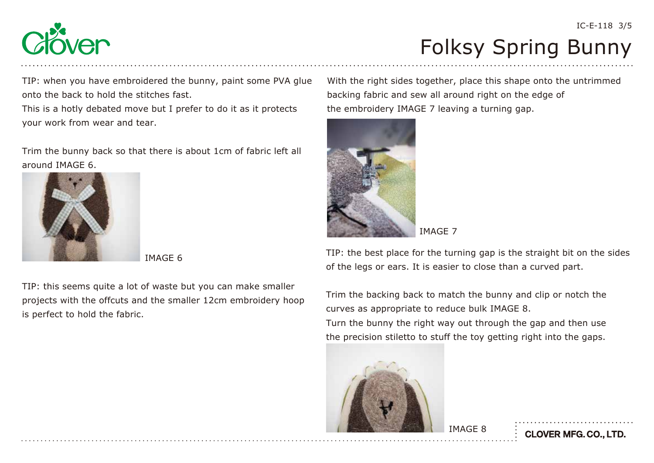

TIP: when you have embroidered the bunny, paint some PVA glue onto the back to hold the stitches fast.

This is a hotly debated move but I prefer to do it as it protects your work from wear and tear.

Trim the bunny back so that there is about 1cm of fabric left all around IMAGE 6.



IMAGE 6

TIP: this seems quite a lot of waste but you can make smaller projects with the offcuts and the smaller 12cm embroidery hoop is perfect to hold the fabric.

With the right sides together, place this shape onto the untrimmed backing fabric and sew all around right on the edge of the embroidery IMAGE 7 leaving a turning gap.





TIP: the best place for the turning gap is the straight bit on the sides of the legs or ears. It is easier to close than a curved part.

Trim the backing back to match the bunny and clip or notch the curves as appropriate to reduce bulk IMAGE 8.

Turn the bunny the right way out through the gap and then use the precision stiletto to stuff the toy getting right into the gaps.

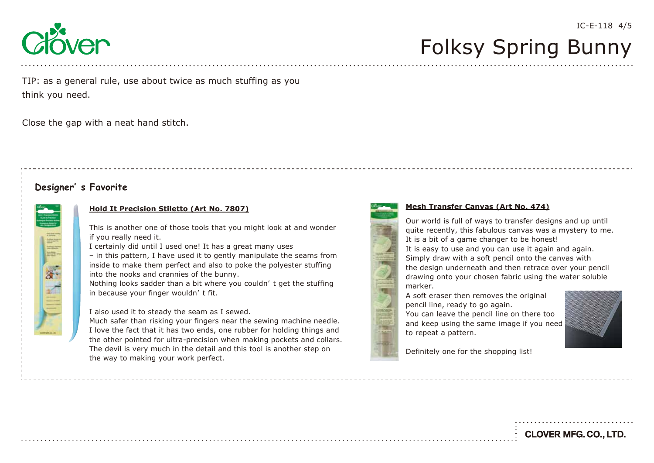

IC-E-118 4/5

TIP: as a general rule, use about twice as much stuffing as you think you need.

Close the gap with a neat hand stitch.

### **Designer' s Favorite**

#### **[Hold It Precision Stiletto \(Art No. 7807\)](https://www.clover-mfg.com/product/9/543)**

This is another one of those tools that you might look at and wonder if you really need it.

I certainly did until I used one! It has a great many uses

– in this pattern, I have used it to gently manipulate the seams from inside to make them perfect and also to poke the polyester stuffing into the nooks and crannies of the bunny.

Nothing looks sadder than a bit where you couldn' t get the stuffing in because your finger wouldn' t fit.

I also used it to steady the seam as I sewed.

Much safer than risking your fingers near the sewing machine needle. I love the fact that it has two ends, one rubber for holding things and the other pointed for ultra-precision when making pockets and collars. The devil is very much in the detail and this tool is another step on the way to making your work perfect.



#### **[Mesh Transfer Canvas \(Art No. 474\)](https://www.clover-mfg.com/product/9/235)**

Our world is full of ways to transfer designs and up until quite recently, this fabulous canvas was a mystery to me. It is a bit of a game changer to be honest!

It is easy to use and you can use it again and again. Simply draw with a soft pencil onto the canvas with the design underneath and then retrace over your pencil drawing onto your chosen fabric using the water soluble marker.

A soft eraser then removes the original pencil line, ready to go again. You can leave the pencil line on there too and keep using the same image if you need to repeat a pattern.



Definitely one for the shopping list!